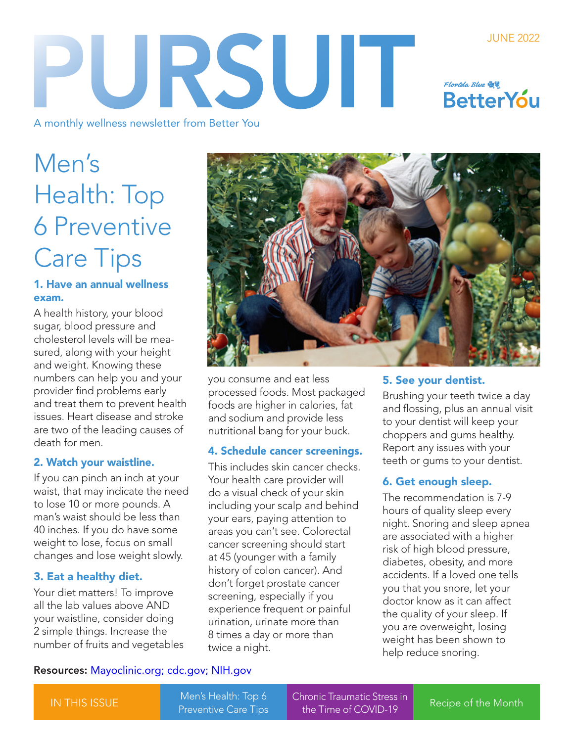### JUNE 2022 PURSUIT Florida Blue **the BetterYou**

A monthly wellness newsletter from Better You

# Men's Health: Top 6 Preventive Care Tips

#### 1. Have an annual wellness exam.

A health history, your blood sugar, blood pressure and cholesterol levels will be measured, along with your height and weight. Knowing these numbers can help you and your provider find problems early and treat them to prevent health issues. Heart disease and stroke are two of the leading causes of death for men.

#### 2. Watch your waistline.

If you can pinch an inch at your waist, that may indicate the need to lose 10 or more pounds. A man's waist should be less than 40 inches. If you do have some weight to lose, focus on small changes and lose weight slowly.

#### 3. Eat a healthy diet.

Your diet matters! To improve all the lab values above AND your waistline, consider doing 2 simple things. Increase the number of fruits and vegetables



you consume and eat less processed foods. Most packaged foods are higher in calories, fat and sodium and provide less nutritional bang for your buck.

#### 4. Schedule cancer screenings.

This includes skin cancer checks. Your health care provider will do a visual check of your skin including your scalp and behind your ears, paying attention to areas you can't see. Colorectal cancer screening should start at 45 (younger with a family history of colon cancer). And don't forget prostate cancer screening, especially if you experience frequent or painful urination, urinate more than 8 times a day or more than twice a night.

#### 5. See your dentist.

Brushing your teeth twice a day and flossing, plus an annual visit to your dentist will keep your choppers and gums healthy. Report any issues with your teeth or gums to your dentist.

#### 6. Get enough sleep.

The recommendation is 7-9 hours of quality sleep every night. Snoring and sleep apnea are associated with a higher risk of high blood pressure, diabetes, obesity, and more accidents. If a loved one tells you that you snore, let your doctor know as it can affect the quality of your sleep. If you are overweight, losing weight has been shown to help reduce snoring.

#### Resources: [Mayoclinic.org](https://www.mayoclinic.org/ ); [cdc.gov;](https://www.cdc.gov/healthequity/lcod/men/2018/all-races-origins/index.htm) [NIH.gov](https://www.nih.gov/about-nih/what-we-do/nih-turning-discovery-into-health-/heart-disease-stroke)

IN THIS ISSUE

Men's Health: Top 6

[Chronic Traumatic Stress in](#page-1-0)  The Time of Chrone Haddware Stess in The [Recipe of the Month](#page-1-0)